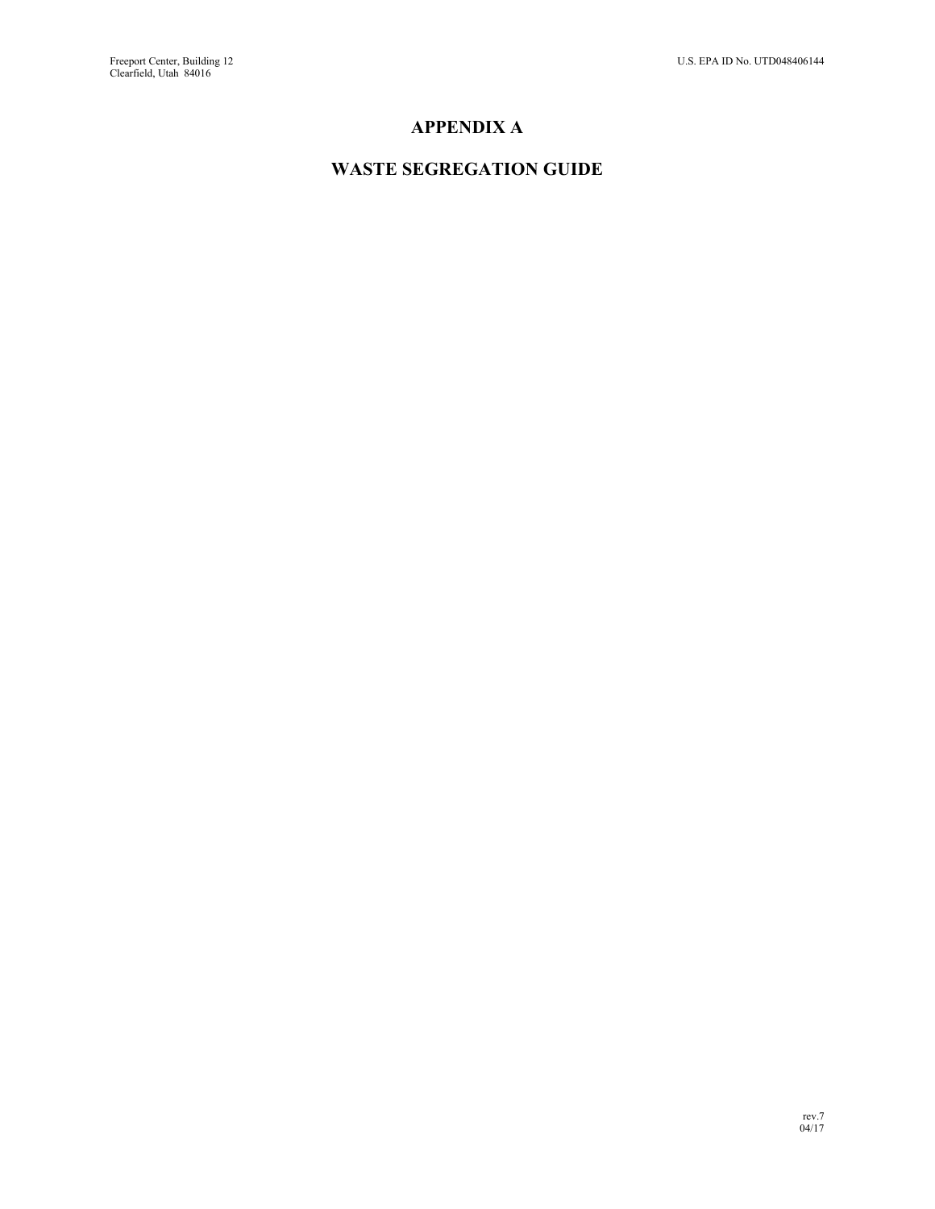## **APPENDIX A**

## **WASTE SEGREGATION GUIDE**